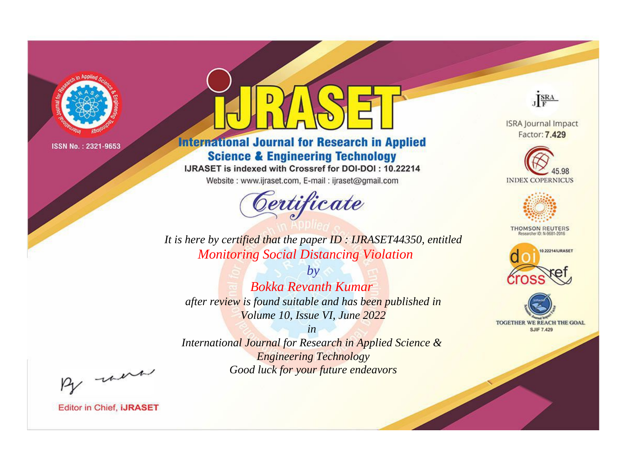

# **International Journal for Research in Applied Science & Engineering Technology**

IJRASET is indexed with Crossref for DOI-DOI: 10.22214

Website: www.ijraset.com, E-mail: ijraset@gmail.com



JERA

**ISRA Journal Impact** Factor: 7.429





**THOMSON REUTERS** 



TOGETHER WE REACH THE GOAL **SJIF 7.429** 

It is here by certified that the paper ID: IJRASET44350, entitled **Monitoring Social Distancing Violation** 

 $b\nu$ **Bokka Revanth Kumar** after review is found suitable and has been published in Volume 10, Issue VI, June 2022

 $in$ International Journal for Research in Applied Science & **Engineering Technology** Good luck for your future endeavors

By morn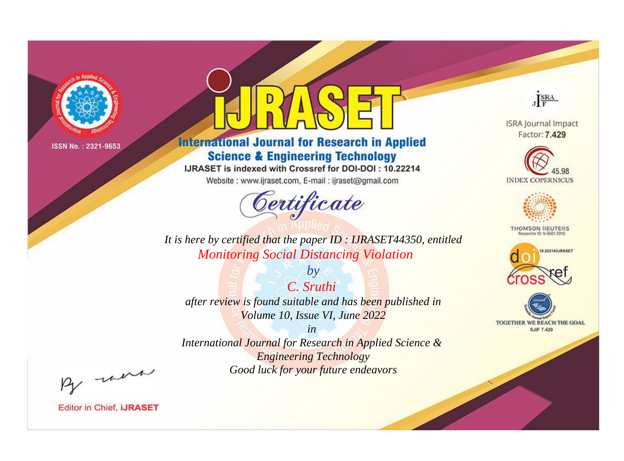

# **International Journal for Research in Applied Science & Engineering Technology**

IJRASET is indexed with Crossref for DOI-DOI: 10.22214

Website: www.ijraset.com, E-mail: ijraset@gmail.com



JERA

**ISRA Journal Impact** Factor: 7.429





**THOMSON REUTERS** 



TOGETHER WE REACH THE GOAL **SJIF 7.429** 

*It is here by certified that the paper ID : IJRASET44350, entitled Monitoring Social Distancing Violation*

*C. Sruthi after review is found suitable and has been published in Volume 10, Issue VI, June 2022*

*by*

*in* 

*International Journal for Research in Applied Science & Engineering Technology Good luck for your future endeavors*

By morn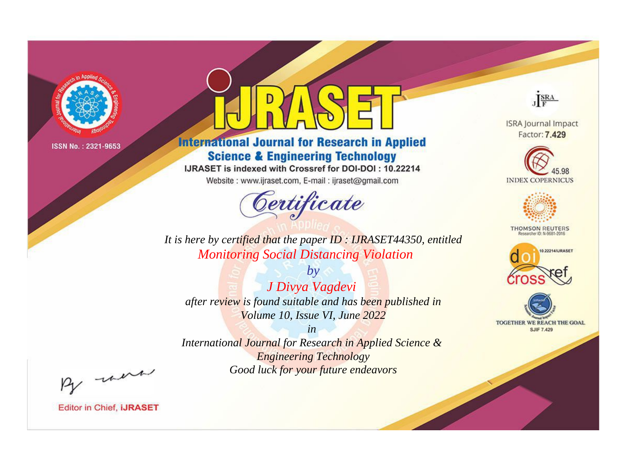

# **International Journal for Research in Applied Science & Engineering Technology**

IJRASET is indexed with Crossref for DOI-DOI: 10.22214

Website: www.ijraset.com, E-mail: ijraset@gmail.com



JERA

**ISRA Journal Impact** Factor: 7.429





**THOMSON REUTERS** 



TOGETHER WE REACH THE GOAL **SJIF 7.429** 

*It is here by certified that the paper ID : IJRASET44350, entitled Monitoring Social Distancing Violation*

*by J Divya Vagdevi after review is found suitable and has been published in Volume 10, Issue VI, June 2022*

*in* 

*International Journal for Research in Applied Science & Engineering Technology Good luck for your future endeavors*

By morn